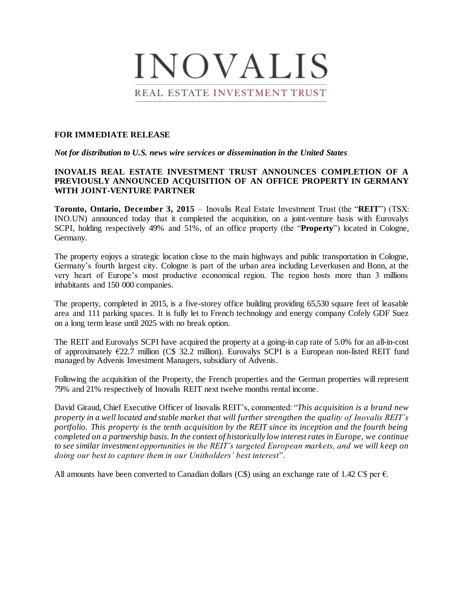# **INOVALIS** REAL ESTATE INVESTMENT TRUST

## **FOR IMMEDIATE RELEASE**

*Not for distribution to U.S. news wire services or dissemination in the United States*

# **INOVALIS REAL ESTATE INVESTMENT TRUST ANNOUNCES COMPLETION OF A PREVIOUSLY ANNOUNCED ACQUISITION OF AN OFFICE PROPERTY IN GERMANY WITH JOINT-VENTURE PARTNER**

**Toronto, Ontario, December 3, 2015** – Inovalis Real Estate Investment Trust (the "**REIT**") (TSX: INO.UN) announced today that it completed the acquisition, on a joint-venture basis with Eurovalys SCPI, holding respectively 49% and 51%, of an office property (the "**Property**") located in Cologne, Germany.

The property enjoys a strategic location close to the main highways and public transportation in Cologne, Germany's fourth largest city. Cologne is part of the urban area including Leverkusen and Bonn, at the very heart of Europe's most productive economical region. The region hosts more than 3 millions inhabitants and 150 000 companies.

The property, completed in 2015, is a five-storey office building providing 65,530 square feet of leasable area and 111 parking spaces. It is fully let to French technology and energy company Cofely GDF Suez on a long term lease until 2025 with no break option.

The REIT and Eurovalys SCPI have acquired the property at a going-in cap rate of 5.0% for an all-in-cost of approximately  $E22.7$  million (C\$ 32.2 million). Eurovalys SCPI is a European non-listed REIT fund managed by Advenis Investment Managers, subsidiary of Advenis.

Following the acquisition of the Property, the French properties and the German properties will represent 79% and 21% respectively of Inovalis REIT next twelve months rental income.

David Giraud, Chief Executive Officer of Inovalis REIT's, commented: "*This acquisition is a brand new property in a well located and stable market that will further strengthen the quality of Inovalis REIT's portfolio. This property is the tenth acquisition by the REIT since its inception and the fourth being completed on a partnership basis. In the context of historically low interest rates in Europe, we continue to see similar investment opportunities in the REIT's targeted European markets, and we will keep on doing our best to capture them in our Unitholders' best interest*".

All amounts have been converted to Canadian dollars (C\$) using an exchange rate of 1.42 C\$ per  $\epsilon$ .